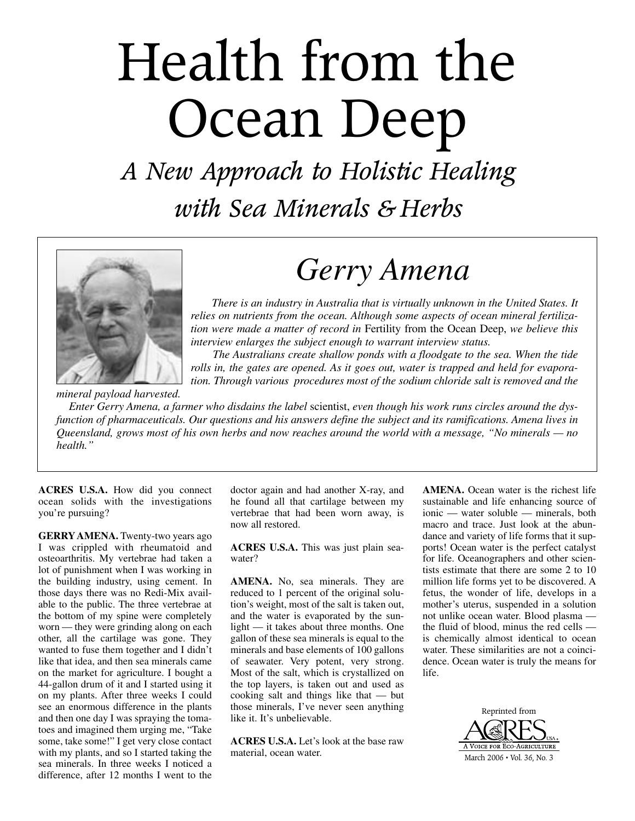## Health from the Ocean Deep

*A New Approach to Holistic Healing with Sea Minerals & Herbs*



## *Gerry Amena*

*There is an industry in Australia that is virtually unknown in the United States. It relies on nutrients from the ocean. Although some aspects of ocean mineral fertilization were made a matter of record in* Fertility from the Ocean Deep, *we believe this interview enlarges the subject enough to warrant interview status.*

*The Australians create shallow ponds with a floodgate to the sea. When the tide rolls in, the gates are opened. As it goes out, water is trapped and held for evaporation. Through various procedures most of the sodium chloride salt is removed and the*

*mineral payload harvested.* 

*Enter Gerry Amena, a farmer who disdains the label* scientist, *even though his work runs circles around the dysfunction of pharmaceuticals. Our questions and his answers define the subject and its ramifications. Amena lives in Queensland, grows most of his own herbs and now reaches around the world with a message, "No minerals — no health."*

**ACRES U.S.A.** How did you connect ocean solids with the investigations you're pursuing?

**GERRYAMENA.** Twenty-two years ago I was crippled with rheumatoid and osteoarthritis. My vertebrae had taken a lot of punishment when I was working in the building industry, using cement. In those days there was no Redi-Mix available to the public. The three vertebrae at the bottom of my spine were completely worn — they were grinding along on each other, all the cartilage was gone. They wanted to fuse them together and I didn't like that idea, and then sea minerals came on the market for agriculture. I bought a 44-gallon drum of it and I started using it on my plants. After three weeks I could see an enormous difference in the plants and then one day I was spraying the tomatoes and imagined them urging me, "Take some, take some!" I get very close contact with my plants, and so I started taking the sea minerals. In three weeks I noticed a difference, after 12 months I went to the

doctor again and had another X-ray, and he found all that cartilage between my vertebrae that had been worn away, is now all restored.

**ACRES U.S.A.** This was just plain seawater?

**AMENA.** No, sea minerals. They are reduced to 1 percent of the original solution's weight, most of the salt is taken out, and the water is evaporated by the sunlight — it takes about three months. One gallon of these sea minerals is equal to the minerals and base elements of 100 gallons of seawater. Very potent, very strong. Most of the salt, which is crystallized on the top layers, is taken out and used as cooking salt and things like that — but those minerals, I've never seen anything like it. It's unbelievable.

**ACRES U.S.A.** Let's look at the base raw material, ocean water.

**AMENA.** Ocean water is the richest life sustainable and life enhancing source of ionic — water soluble — minerals, both macro and trace. Just look at the abundance and variety of life forms that it supports! Ocean water is the perfect catalyst for life. Oceanographers and other scientists estimate that there are some 2 to 10 million life forms yet to be discovered. A fetus, the wonder of life, develops in a mother's uterus, suspended in a solution not unlike ocean water. Blood plasma the fluid of blood, minus the red cells is chemically almost identical to ocean water. These similarities are not a coincidence. Ocean water is truly the means for life.

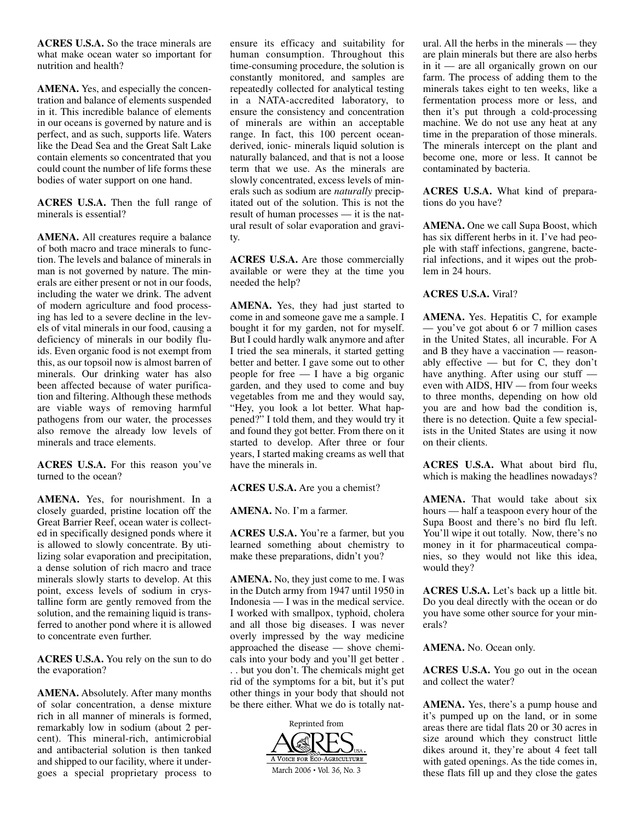**ACRES U.S.A.** So the trace minerals are what make ocean water so important for nutrition and health?

**AMENA.** Yes, and especially the concentration and balance of elements suspended in it. This incredible balance of elements in our oceans is governed by nature and is perfect, and as such, supports life. Waters like the Dead Sea and the Great Salt Lake contain elements so concentrated that you could count the number of life forms these bodies of water support on one hand.

**ACRES U.S.A.** Then the full range of minerals is essential?

**AMENA.** All creatures require a balance of both macro and trace minerals to function. The levels and balance of minerals in man is not governed by nature. The minerals are either present or not in our foods, including the water we drink. The advent of modern agriculture and food processing has led to a severe decline in the levels of vital minerals in our food, causing a deficiency of minerals in our bodily fluids. Even organic food is not exempt from this, as our topsoil now is almost barren of minerals. Our drinking water has also been affected because of water purification and filtering. Although these methods are viable ways of removing harmful pathogens from our water, the processes also remove the already low levels of minerals and trace elements.

**ACRES U.S.A.** For this reason you've turned to the ocean?

**AMENA.** Yes, for nourishment. In a closely guarded, pristine location off the Great Barrier Reef, ocean water is collected in specifically designed ponds where it is allowed to slowly concentrate. By utilizing solar evaporation and precipitation, a dense solution of rich macro and trace minerals slowly starts to develop. At this point, excess levels of sodium in crystalline form are gently removed from the solution, and the remaining liquid is transferred to another pond where it is allowed to concentrate even further.

**ACRES U.S.A.** You rely on the sun to do the evaporation?

**AMENA.** Absolutely. After many months of solar concentration, a dense mixture rich in all manner of minerals is formed, remarkably low in sodium (about 2 percent). This mineral-rich, antimicrobial and antibacterial solution is then tanked and shipped to our facility, where it undergoes a special proprietary process to

ensure its efficacy and suitability for human consumption. Throughout this time-consuming procedure, the solution is constantly monitored, and samples are repeatedly collected for analytical testing in a NATA-accredited laboratory, to ensure the consistency and concentration of minerals are within an acceptable range. In fact, this 100 percent oceanderived, ionic- minerals liquid solution is naturally balanced, and that is not a loose term that we use. As the minerals are slowly concentrated, excess levels of minerals such as sodium are *naturally* precipitated out of the solution. This is not the result of human processes — it is the natural result of solar evaporation and gravity.

**ACRES U.S.A.** Are those commercially available or were they at the time you needed the help?

**AMENA.** Yes, they had just started to come in and someone gave me a sample. I bought it for my garden, not for myself. But I could hardly walk anymore and after I tried the sea minerals, it started getting better and better. I gave some out to other people for free — I have a big organic garden, and they used to come and buy vegetables from me and they would say, "Hey, you look a lot better. What happened?" I told them, and they would try it and found they got better. From there on it started to develop. After three or four years, I started making creams as well that have the minerals in.

**ACRES U.S.A.** Are you a chemist?

**AMENA.** No. I'm a farmer.

**ACRES U.S.A.** You're a farmer, but you learned something about chemistry to make these preparations, didn't you?

**AMENA.** No, they just come to me. I was in the Dutch army from 1947 until 1950 in Indonesia — I was in the medical service. I worked with smallpox, typhoid, cholera and all those big diseases. I was never overly impressed by the way medicine approached the disease — shove chemicals into your body and you'll get better . . . but you don't. The chemicals might get rid of the symptoms for a bit, but it's put other things in your body that should not be there either. What we do is totally nat-



ural. All the herbs in the minerals — they are plain minerals but there are also herbs in it — are all organically grown on our farm. The process of adding them to the minerals takes eight to ten weeks, like a fermentation process more or less, and then it's put through a cold-processing machine. We do not use any heat at any time in the preparation of those minerals. The minerals intercept on the plant and become one, more or less. It cannot be contaminated by bacteria.

**ACRES U.S.A.** What kind of preparations do you have?

**AMENA.** One we call Supa Boost, which has six different herbs in it. I've had people with staff infections, gangrene, bacterial infections, and it wipes out the problem in 24 hours.

## **ACRES U.S.A.** Viral?

**AMENA.** Yes. Hepatitis C, for example — you've got about 6 or 7 million cases in the United States, all incurable. For A and B they have a vaccination — reasonably effective — but for C, they don't have anything. After using our stuff even with AIDS, HIV — from four weeks to three months, depending on how old you are and how bad the condition is, there is no detection. Quite a few specialists in the United States are using it now on their clients.

**ACRES U.S.A.** What about bird flu, which is making the headlines nowadays?

**AMENA.** That would take about six hours — half a teaspoon every hour of the Supa Boost and there's no bird flu left. You'll wipe it out totally. Now, there's no money in it for pharmaceutical companies, so they would not like this idea, would they?

**ACRES U.S.A.** Let's back up a little bit. Do you deal directly with the ocean or do you have some other source for your minerals?

**AMENA.** No. Ocean only.

**ACRES U.S.A.** You go out in the ocean and collect the water?

**AMENA.** Yes, there's a pump house and it's pumped up on the land, or in some areas there are tidal flats 20 or 30 acres in size around which they construct little dikes around it, they're about 4 feet tall with gated openings. As the tide comes in, these flats fill up and they close the gates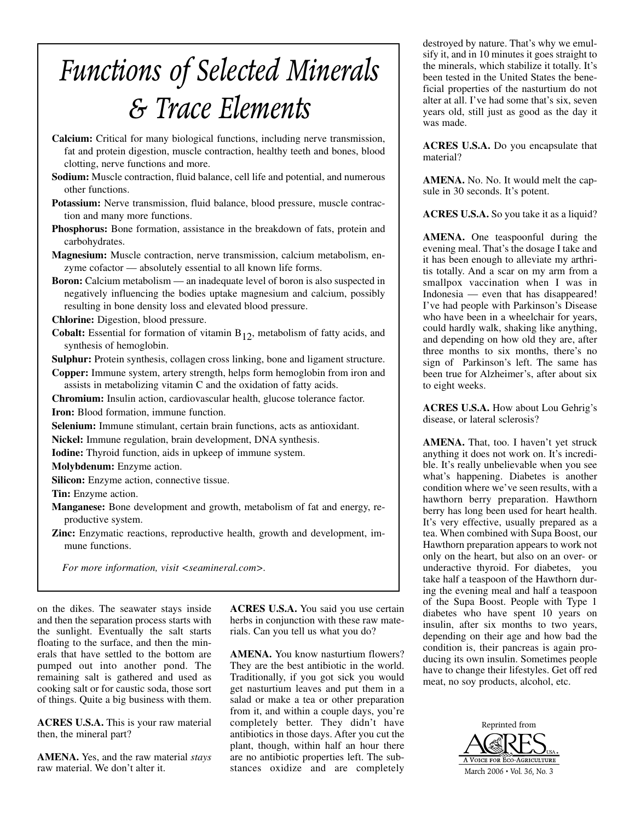## *Functions of Selected Minerals & Trace Elements*

- **Calcium:** Critical for many biological functions, including nerve transmission, fat and protein digestion, muscle contraction, healthy teeth and bones, blood clotting, nerve functions and more.
- **Sodium:** Muscle contraction, fluid balance, cell life and potential, and numerous other functions.
- **Potassium:** Nerve transmission, fluid balance, blood pressure, muscle contraction and many more functions.
- **Phosphorus:** Bone formation, assistance in the breakdown of fats, protein and carbohydrates.

**Magnesium:** Muscle contraction, nerve transmission, calcium metabolism, enzyme cofactor — absolutely essential to all known life forms.

**Boron:** Calcium metabolism — an inadequate level of boron is also suspected in negatively influencing the bodies uptake magnesium and calcium, possibly resulting in bone density loss and elevated blood pressure.

**Chlorine:** Digestion, blood pressure.

**Cobalt:** Essential for formation of vitamin  $B_{12}$ , metabolism of fatty acids, and synthesis of hemoglobin.

**Sulphur:** Protein synthesis, collagen cross linking, bone and ligament structure.

**Copper:** Immune system, artery strength, helps form hemoglobin from iron and assists in metabolizing vitamin C and the oxidation of fatty acids.

**Chromium:** Insulin action, cardiovascular health, glucose tolerance factor.

**Iron:** Blood formation, immune function.

**Selenium:** Immune stimulant, certain brain functions, acts as antioxidant.

**Nickel:** Immune regulation, brain development, DNA synthesis.

**Iodine:** Thyroid function, aids in upkeep of immune system.

**Molybdenum:** Enzyme action.

**Silicon:** Enzyme action, connective tissue.

**Tin:** Enzyme action.

**Manganese:** Bone development and growth, metabolism of fat and energy, reproductive system.

**Zinc:** Enzymatic reactions, reproductive health, growth and development, immune functions.

*For more information, visit <seamineral.com>.*

on the dikes. The seawater stays inside and then the separation process starts with the sunlight. Eventually the salt starts floating to the surface, and then the minerals that have settled to the bottom are pumped out into another pond. The remaining salt is gathered and used as cooking salt or for caustic soda, those sort of things. Quite a big business with them.

**ACRES U.S.A.** This is your raw material then, the mineral part?

**AMENA.** Yes, and the raw material *stays* raw material. We don't alter it.

**ACRES U.S.A.** You said you use certain herbs in conjunction with these raw materials. Can you tell us what you do?

**AMENA.** You know nasturtium flowers? They are the best antibiotic in the world. Traditionally, if you got sick you would get nasturtium leaves and put them in a salad or make a tea or other preparation from it, and within a couple days, you're completely better. They didn't have antibiotics in those days. After you cut the plant, though, within half an hour there are no antibiotic properties left. The substances oxidize and are completely

destroyed by nature. That's why we emulsify it, and in 10 minutes it goes straight to the minerals, which stabilize it totally. It's been tested in the United States the beneficial properties of the nasturtium do not alter at all. I've had some that's six, seven years old, still just as good as the day it was made.

**ACRES U.S.A.** Do you encapsulate that material?

**AMENA.** No. No. It would melt the capsule in 30 seconds. It's potent.

**ACRES U.S.A.** So you take it as a liquid?

**AMENA.** One teaspoonful during the evening meal. That's the dosage I take and it has been enough to alleviate my arthritis totally. And a scar on my arm from a smallpox vaccination when I was in Indonesia — even that has disappeared! I've had people with Parkinson's Disease who have been in a wheelchair for years, could hardly walk, shaking like anything, and depending on how old they are, after three months to six months, there's no sign of Parkinson's left. The same has been true for Alzheimer's, after about six to eight weeks.

**ACRES U.S.A.** How about Lou Gehrig's disease, or lateral sclerosis?

**AMENA.** That, too. I haven't yet struck anything it does not work on. It's incredible. It's really unbelievable when you see what's happening. Diabetes is another condition where we've seen results, with a hawthorn berry preparation. Hawthorn berry has long been used for heart health. It's very effective, usually prepared as a tea. When combined with Supa Boost, our Hawthorn preparation appears to work not only on the heart, but also on an over- or underactive thyroid. For diabetes, you take half a teaspoon of the Hawthorn during the evening meal and half a teaspoon of the Supa Boost. People with Type 1 diabetes who have spent 10 years on insulin, after six months to two years, depending on their age and how bad the condition is, their pancreas is again producing its own insulin. Sometimes people have to change their lifestyles. Get off red meat, no soy products, alcohol, etc.

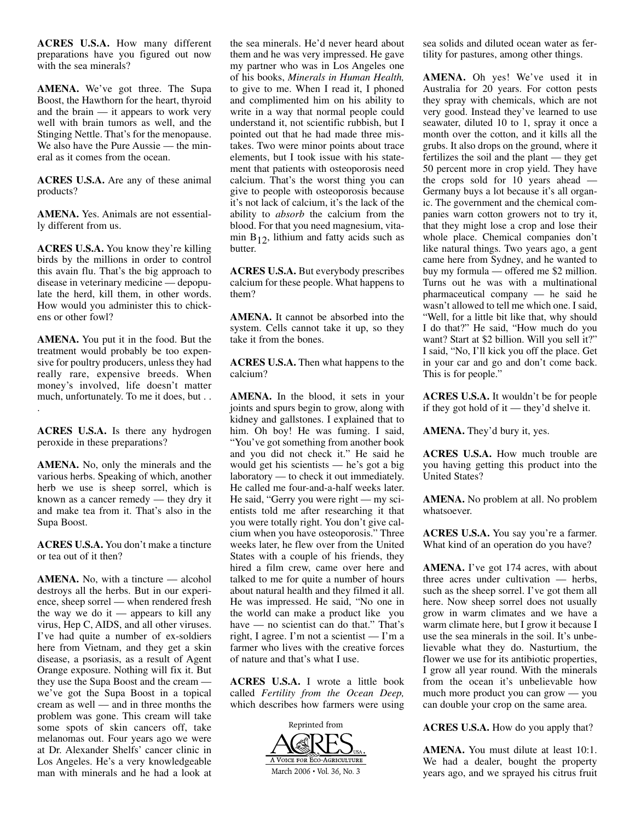**ACRES U.S.A.** How many different preparations have you figured out now with the sea minerals?

**AMENA.** We've got three. The Supa Boost, the Hawthorn for the heart, thyroid and the brain — it appears to work very well with brain tumors as well, and the Stinging Nettle. That's for the menopause. We also have the Pure Aussie — the mineral as it comes from the ocean.

**ACRES U.S.A.** Are any of these animal products?

**AMENA.** Yes. Animals are not essentially different from us.

**ACRES U.S.A.** You know they're killing birds by the millions in order to control this avain flu. That's the big approach to disease in veterinary medicine — depopulate the herd, kill them, in other words. How would you administer this to chickens or other fowl?

**AMENA.** You put it in the food. But the treatment would probably be too expensive for poultry producers, unless they had really rare, expensive breeds. When money's involved, life doesn't matter much, unfortunately. To me it does, but . . .

**ACRES U.S.A.** Is there any hydrogen peroxide in these preparations?

**AMENA.** No, only the minerals and the various herbs. Speaking of which, another herb we use is sheep sorrel, which is known as a cancer remedy — they dry it and make tea from it. That's also in the Supa Boost.

**ACRES U.S.A.** You don't make a tincture or tea out of it then?

**AMENA.** No, with a tincture — alcohol destroys all the herbs. But in our experience, sheep sorrel — when rendered fresh the way we do it — appears to kill any virus, Hep C, AIDS, and all other viruses. I've had quite a number of ex-soldiers here from Vietnam, and they get a skin disease, a psoriasis, as a result of Agent Orange exposure. Nothing will fix it. But they use the Supa Boost and the cream we've got the Supa Boost in a topical cream as well — and in three months the problem was gone. This cream will take some spots of skin cancers off, take melanomas out. Four years ago we were at Dr. Alexander Shelfs' cancer clinic in Los Angeles. He's a very knowledgeable man with minerals and he had a look at

the sea minerals. He'd never heard about them and he was very impressed. He gave my partner who was in Los Angeles one of his books, *Minerals in Human Health,* to give to me. When I read it, I phoned and complimented him on his ability to write in a way that normal people could understand it, not scientific rubbish, but I pointed out that he had made three mistakes. Two were minor points about trace elements, but I took issue with his statement that patients with osteoporosis need calcium. That's the worst thing you can give to people with osteoporosis because it's not lack of calcium, it's the lack of the ability to *absorb* the calcium from the blood. For that you need magnesium, vitamin  $B_{12}$ , lithium and fatty acids such as butter.

**ACRES U.S.A.** But everybody prescribes calcium for these people. What happens to them?

**AMENA.** It cannot be absorbed into the system. Cells cannot take it up, so they take it from the bones.

**ACRES U.S.A.** Then what happens to the calcium?

**AMENA.** In the blood, it sets in your joints and spurs begin to grow, along with kidney and gallstones. I explained that to him. Oh boy! He was fuming. I said, "You've got something from another book and you did not check it." He said he would get his scientists — he's got a big laboratory — to check it out immediately. He called me four-and-a-half weeks later. He said, "Gerry you were right — my scientists told me after researching it that you were totally right. You don't give calcium when you have osteoporosis." Three weeks later, he flew over from the United States with a couple of his friends, they hired a film crew, came over here and talked to me for quite a number of hours about natural health and they filmed it all. He was impressed. He said, "No one in the world can make a product like you have — no scientist can do that." That's right, I agree. I'm not a scientist — I'm a farmer who lives with the creative forces of nature and that's what I use.

**ACRES U.S.A.** I wrote a little book called *Fertility from the Ocean Deep,* which describes how farmers were using



sea solids and diluted ocean water as fertility for pastures, among other things.

**AMENA.** Oh yes! We've used it in Australia for 20 years. For cotton pests they spray with chemicals, which are not very good. Instead they've learned to use seawater, diluted 10 to 1, spray it once a month over the cotton, and it kills all the grubs. It also drops on the ground, where it fertilizes the soil and the plant — they get 50 percent more in crop yield. They have the crops sold for 10 years ahead — Germany buys a lot because it's all organic. The government and the chemical companies warn cotton growers not to try it, that they might lose a crop and lose their whole place. Chemical companies don't like natural things. Two years ago, a gent came here from Sydney, and he wanted to buy my formula — offered me \$2 million. Turns out he was with a multinational pharmaceutical company — he said he wasn't allowed to tell me which one. I said, "Well, for a little bit like that, why should I do that?" He said, "How much do you want? Start at \$2 billion. Will you sell it?" I said, "No, I'll kick you off the place. Get in your car and go and don't come back. This is for people."

**ACRES U.S.A.** It wouldn't be for people if they got hold of it — they'd shelve it.

**AMENA.** They'd bury it, yes.

**ACRES U.S.A.** How much trouble are you having getting this product into the United States?

**AMENA.** No problem at all. No problem whatsoever.

**ACRES U.S.A.** You say you're a farmer. What kind of an operation do you have?

**AMENA.** I've got 174 acres, with about three acres under cultivation — herbs, such as the sheep sorrel. I've got them all here. Now sheep sorrel does not usually grow in warm climates and we have a warm climate here, but I grow it because I use the sea minerals in the soil. It's unbelievable what they do. Nasturtium, the flower we use for its antibiotic properties, I grow all year round. With the minerals from the ocean it's unbelievable how much more product you can grow — you can double your crop on the same area.

**ACRES U.S.A.** How do you apply that?

**AMENA.** You must dilute at least 10:1. We had a dealer, bought the property years ago, and we sprayed his citrus fruit